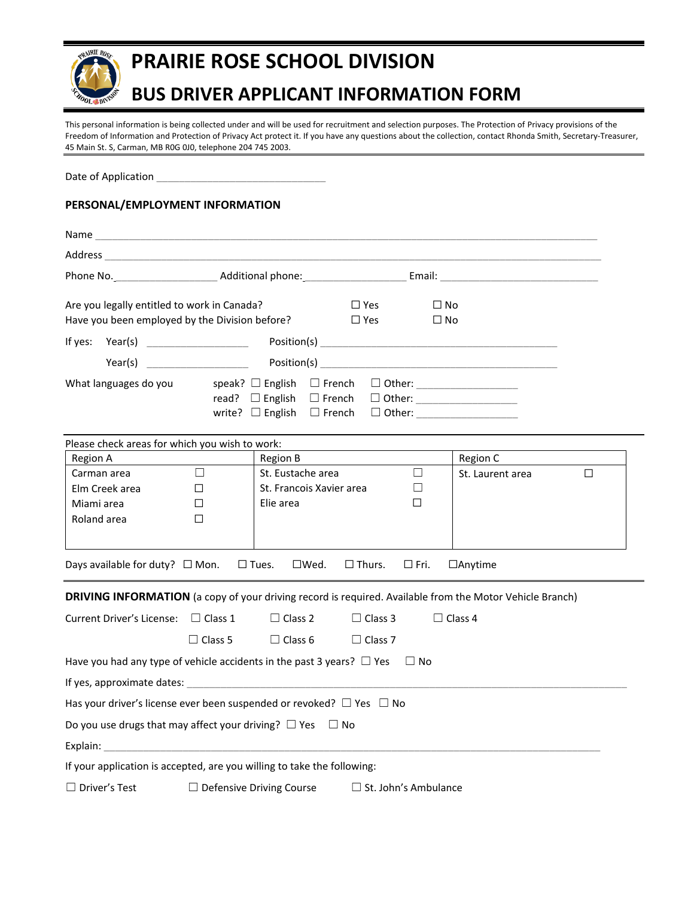

# **PRAIRIE ROSE SCHOOL DIVISION**

## **BUS DRIVER APPLICANT INFORMATION FORM**

This personal information is being collected under and will be used for recruitment and selection purposes. The Protection of Privacy provisions of the Freedom of Information and Protection of Privacy Act protect it. If you have any questions about the collection, contact Rhonda Smith, Secretary-Treasurer, 45 Main St. S, Carman, MB R0G 0J0, telephone 204 745 2003.

Date of Application

### **PERSONAL/EMPLOYMENT INFORMATION**

| Name                                                                                                                                                                                                                           |                                               |                                                                       |                                  |                           |   |  |
|--------------------------------------------------------------------------------------------------------------------------------------------------------------------------------------------------------------------------------|-----------------------------------------------|-----------------------------------------------------------------------|----------------------------------|---------------------------|---|--|
|                                                                                                                                                                                                                                |                                               |                                                                       |                                  |                           |   |  |
| Phone No. 1996 Additional phone: 1997 Contract Contract Contract Contract Contract Contract Contract Contract Contract Contract Contract Contract Contract Contract Contract Contract Contract Contract Contract Contract Cont |                                               |                                                                       |                                  |                           |   |  |
| Are you legally entitled to work in Canada?<br>Have you been employed by the Division before?                                                                                                                                  |                                               |                                                                       | $\Box$ Yes<br>$\Box$ Yes         | $\square$ No<br>$\Box$ No |   |  |
|                                                                                                                                                                                                                                |                                               |                                                                       |                                  |                           |   |  |
|                                                                                                                                                                                                                                |                                               |                                                                       |                                  |                           |   |  |
| What languages do you                                                                                                                                                                                                          | read? $\Box$ English<br>write? $\Box$ English | speak? $\Box$ English $\Box$ French<br>$\Box$ French<br>$\Box$ French |                                  | $\Box$ Other:             |   |  |
| Please check areas for which you wish to work:                                                                                                                                                                                 |                                               |                                                                       |                                  |                           |   |  |
| <b>Region A</b>                                                                                                                                                                                                                |                                               | <b>Region B</b>                                                       |                                  | Region C                  |   |  |
| Carman area<br>Elm Creek area<br>Miami area<br>Roland area                                                                                                                                                                     | $\Box$<br>$\Box$<br>П<br>□                    | St. Eustache area<br>St. Francois Xavier area<br>Elie area            | $\Box$<br>□<br>□                 | St. Laurent area          | П |  |
| Days available for duty? $\Box$ Mon.                                                                                                                                                                                           | $\square$ Tues.                               | $\Box$ Wed.                                                           | $\Box$ Thurs.<br>$\square$ Fri.  | $\Box$ Anytime            |   |  |
| DRIVING INFORMATION (a copy of your driving record is required. Available from the Motor Vehicle Branch)                                                                                                                       |                                               |                                                                       |                                  |                           |   |  |
| Current Driver's License: $\Box$ Class 1                                                                                                                                                                                       | $\Box$ Class 5                                | $\Box$ Class 2<br>$\Box$ Class 6                                      | $\Box$ Class 3<br>$\Box$ Class 7 | $\Box$ Class 4            |   |  |
| Have you had any type of vehicle accidents in the past 3 years? $\Box$ Yes                                                                                                                                                     |                                               |                                                                       | $\Box$ No                        |                           |   |  |
| If yes, approximate dates: experience of the state of the state of the state of the state of the state of the state of the state of the state of the state of the state of the state of the state of the state of the state of |                                               |                                                                       |                                  |                           |   |  |
| Has your driver's license ever been suspended or revoked? $\Box$ Yes $\Box$ No                                                                                                                                                 |                                               |                                                                       |                                  |                           |   |  |
| Do you use drugs that may affect your driving? $\Box$ Yes $\Box$ No                                                                                                                                                            |                                               |                                                                       |                                  |                           |   |  |
| Explain: The contract of the contract of the contract of the contract of the contract of the contract of the contract of the contract of the contract of the contract of the contract of the contract of the contract of the c |                                               |                                                                       |                                  |                           |   |  |
| If your application is accepted, are you willing to take the following:                                                                                                                                                        |                                               |                                                                       |                                  |                           |   |  |
| $\Box$ Driver's Test                                                                                                                                                                                                           | $\Box$ Defensive Driving Course               |                                                                       | $\Box$ St. John's Ambulance      |                           |   |  |